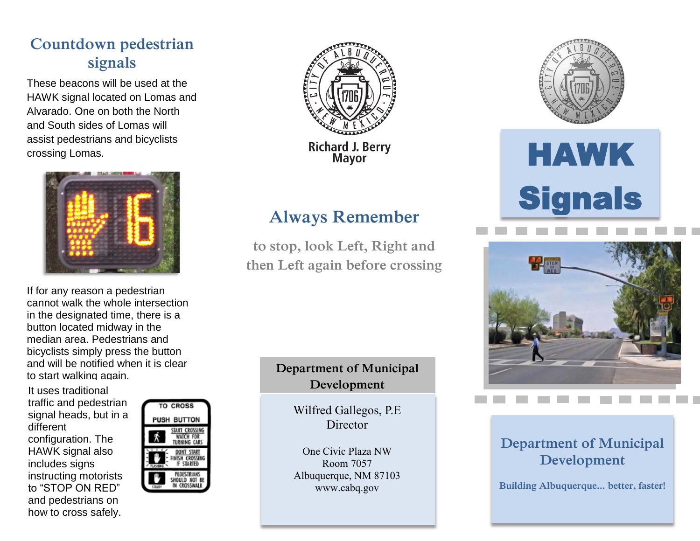## **Countdown pedestrian signals**

 and South sides of Lomas will These beacons will be used at the HAWK signal located on Lomas and Alvarado. One on both the North assist pedestrians and bicyclists crossing Lomas.



If for any reason a pedestrian cannot walk the whole intersection in the designated time, there is a button located midway in the median area. Pedestrians and bicyclists simply press the button and will be notified when it is clear to start walking again.

 to "STOP ON RED" It uses traditional traffic and pedestrian signal heads, but in a different configuration. The HAWK signal also includes signs instructing motorists and pedestrians on how to cross safely.





## **Always Remember**

**to stop, look Left, Right and then Left again before crossing**

#### **Department of Municipal Development**

Wilfred Gallegos, P.E **Director** 

One Civic Plaza NW Room 7057 Albuquerque, NM 87103 www.cabq.gov



# HAWK **Signals**



### **Department of Municipal Development**

**Building Albuquerque... better, faster!**